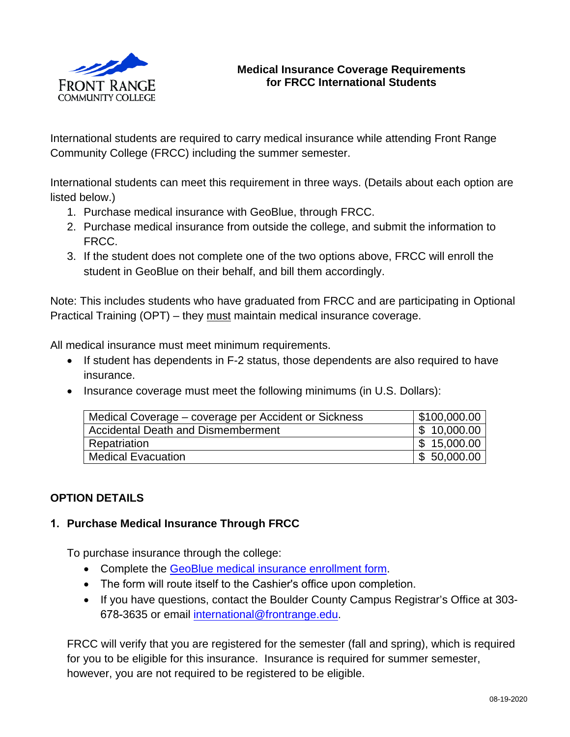

## **Medical Insurance Coverage Requirements for FRCC International Students**

International students are required to carry medical insurance while attending Front Range Community College (FRCC) including the summer semester.

International students can meet this requirement in three ways. (Details about each option are listed below.)

- 1. Purchase medical insurance with GeoBlue, through FRCC.
- 2. Purchase medical insurance from outside the college, and submit the information to FRCC.
- 3. If the student does not complete one of the two options above, FRCC will enroll the student in GeoBlue on their behalf, and bill them accordingly.

Note: This includes students who have graduated from FRCC and are participating in Optional Practical Training (OPT) – they must maintain medical insurance coverage.

All medical insurance must meet minimum requirements.

- If student has dependents in F-2 status, those dependents are also required to have insurance.
- Insurance coverage must meet the following minimums (in U.S. Dollars):

| Medical Coverage – coverage per Accident or Sickness | $\frac{1}{2}$ \$100,000.00 |
|------------------------------------------------------|----------------------------|
| Accidental Death and Dismemberment                   | $\frac{1}{2}$ 10,000.00    |
| Repatriation                                         | $\frac{1}{2}$ 15,000.00    |
| <b>Medical Evacuation</b>                            | $\frac{1}{2}$ 50,000.00    |

# **OPTION DETAILS**

### **1. Purchase Medical Insurance Through FRCC**

To purchase insurance through the college:

- Complete the GeoBlue medical [insurance enrollment form.](https://frontrange.formstack.com/forms/international_student_medical_insurance_form)
- The form will route itself to the Cashier's office upon completion.
- If you have questions, contact the Boulder County Campus Registrar's Office at 303- 678-3635 or email [international@frontrange.edu.](mailto:international@frontrange.edu)

FRCC will verify that you are registered for the semester (fall and spring), which is required for you to be eligible for this insurance. Insurance is required for summer semester, however, you are not required to be registered to be eligible.